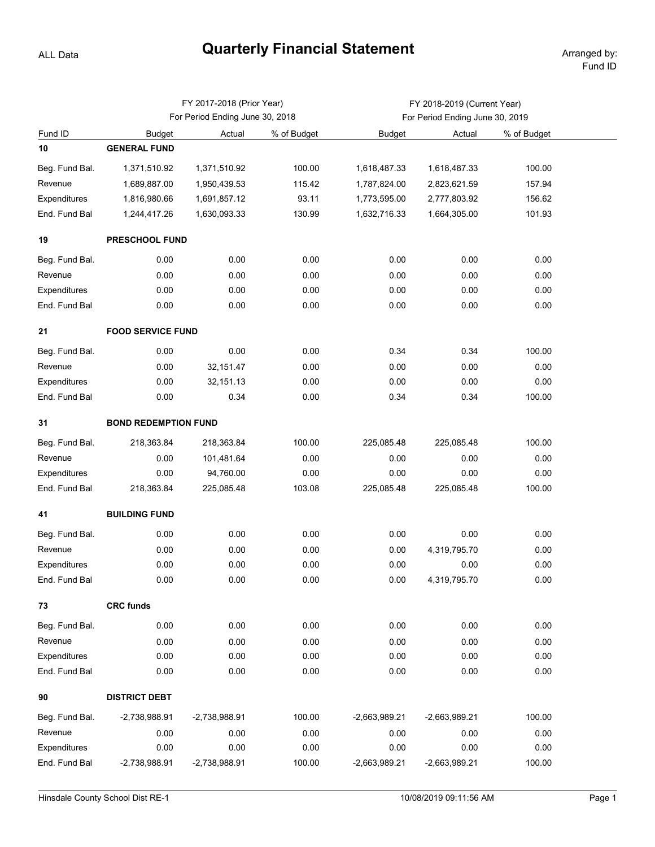## **Quarterly Financial Statement** Arranged by:

ALL Data

|                |                             | FY 2017-2018 (Prior Year)       |             | FY 2018-2019 (Current Year)     |                 |             |  |  |  |  |  |
|----------------|-----------------------------|---------------------------------|-------------|---------------------------------|-----------------|-------------|--|--|--|--|--|
|                |                             | For Period Ending June 30, 2018 |             | For Period Ending June 30, 2019 |                 |             |  |  |  |  |  |
| Fund ID        | <b>Budget</b>               | Actual                          | % of Budget | <b>Budget</b>                   | Actual          | % of Budget |  |  |  |  |  |
| 10             | <b>GENERAL FUND</b>         |                                 |             |                                 |                 |             |  |  |  |  |  |
| Beg. Fund Bal. | 1,371,510.92                | 1,371,510.92                    | 100.00      | 1,618,487.33                    | 1,618,487.33    | 100.00      |  |  |  |  |  |
| Revenue        | 1,689,887.00                | 1,950,439.53                    | 115.42      | 1,787,824.00                    | 2,823,621.59    | 157.94      |  |  |  |  |  |
| Expenditures   | 1,816,980.66                | 1,691,857.12                    | 93.11       | 1,773,595.00                    | 2,777,803.92    | 156.62      |  |  |  |  |  |
| End. Fund Bal  | 1,244,417.26                | 1,630,093.33                    | 130.99      | 1,632,716.33                    | 1,664,305.00    | 101.93      |  |  |  |  |  |
| 19             | PRESCHOOL FUND              |                                 |             |                                 |                 |             |  |  |  |  |  |
| Beg. Fund Bal. | 0.00                        | 0.00                            | 0.00        | 0.00                            | 0.00            | 0.00        |  |  |  |  |  |
| Revenue        | 0.00                        | 0.00                            | 0.00        | 0.00                            | 0.00            | 0.00        |  |  |  |  |  |
| Expenditures   | 0.00                        | 0.00                            | 0.00        | 0.00                            | 0.00            | 0.00        |  |  |  |  |  |
| End. Fund Bal  | 0.00                        | 0.00                            | 0.00        | 0.00                            | 0.00            | 0.00        |  |  |  |  |  |
| 21             | <b>FOOD SERVICE FUND</b>    |                                 |             |                                 |                 |             |  |  |  |  |  |
| Beg. Fund Bal. | 0.00                        | 0.00                            | 0.00        | 0.34                            | 0.34            | 100.00      |  |  |  |  |  |
| Revenue        | 0.00                        | 32, 151.47                      | 0.00        | 0.00                            | 0.00            | 0.00        |  |  |  |  |  |
| Expenditures   | 0.00                        | 32,151.13                       | 0.00        | 0.00                            | 0.00            | 0.00        |  |  |  |  |  |
| End. Fund Bal  | 0.00                        | 0.34                            | 0.00        | 0.34                            | 0.34            | 100.00      |  |  |  |  |  |
| 31             | <b>BOND REDEMPTION FUND</b> |                                 |             |                                 |                 |             |  |  |  |  |  |
| Beg. Fund Bal. | 218,363.84                  | 218,363.84                      | 100.00      | 225,085.48                      | 225,085.48      | 100.00      |  |  |  |  |  |
| Revenue        | 0.00                        | 101,481.64                      | 0.00        | 0.00                            | 0.00            | 0.00        |  |  |  |  |  |
| Expenditures   | 0.00                        | 94,760.00                       | 0.00        | 0.00                            | 0.00            | 0.00        |  |  |  |  |  |
| End. Fund Bal  | 218,363.84                  | 225,085.48                      | 103.08      | 225,085.48                      | 225,085.48      | 100.00      |  |  |  |  |  |
| 41             | <b>BUILDING FUND</b>        |                                 |             |                                 |                 |             |  |  |  |  |  |
| Beg. Fund Bal. | 0.00                        | 0.00                            | 0.00        | 0.00                            | 0.00            | 0.00        |  |  |  |  |  |
| Revenue        | 0.00                        | 0.00                            | 0.00        | 0.00                            | 4,319,795.70    | 0.00        |  |  |  |  |  |
| Expenditures   | 0.00                        | 0.00                            | 0.00        | 0.00                            | 0.00            | 0.00        |  |  |  |  |  |
| End. Fund Bal  | 0.00                        | 0.00                            | 0.00        | 0.00                            | 4,319,795.70    | 0.00        |  |  |  |  |  |
| 73             | <b>CRC funds</b>            |                                 |             |                                 |                 |             |  |  |  |  |  |
| Beg. Fund Bal. | 0.00                        | 0.00                            | 0.00        | 0.00                            | 0.00            | 0.00        |  |  |  |  |  |
| Revenue        | 0.00                        | 0.00                            | 0.00        | 0.00                            | 0.00            | 0.00        |  |  |  |  |  |
| Expenditures   | 0.00                        | 0.00                            | 0.00        | 0.00                            | 0.00            | 0.00        |  |  |  |  |  |
| End. Fund Bal  | 0.00                        | 0.00                            | 0.00        | 0.00                            | 0.00            | 0.00        |  |  |  |  |  |
| 90             | <b>DISTRICT DEBT</b>        |                                 |             |                                 |                 |             |  |  |  |  |  |
| Beg. Fund Bal. | -2,738,988.91               | -2,738,988.91                   | 100.00      | -2,663,989.21                   | -2,663,989.21   | 100.00      |  |  |  |  |  |
| Revenue        | 0.00                        | 0.00                            | 0.00        | 0.00                            | 0.00            | 0.00        |  |  |  |  |  |
| Expenditures   | 0.00                        | 0.00                            | 0.00        | 0.00                            | 0.00            | 0.00        |  |  |  |  |  |
| End. Fund Bal  | -2,738,988.91               | -2,738,988.91                   | 100.00      | -2,663,989.21                   | $-2,663,989.21$ | 100.00      |  |  |  |  |  |